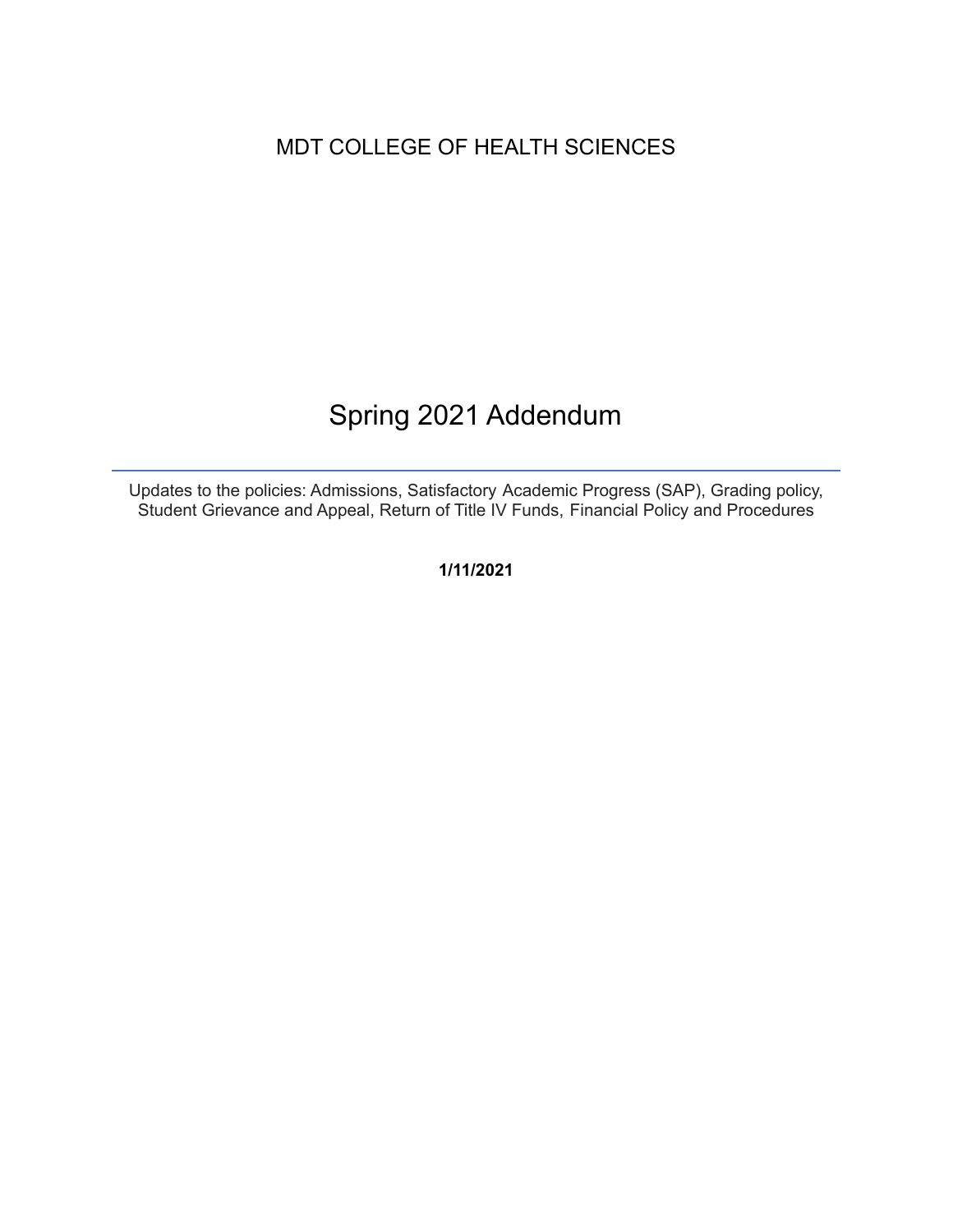## MDT COLLEGE OF HEALTH SCIENCES

# Spring 2021 Addendum

Updates to the policies: Admissions, Satisfactory Academic Progress (SAP), Grading policy, Student Grievance and Appeal, Return of Title IV Funds, Financial Policy and Procedures

**1/11/2021**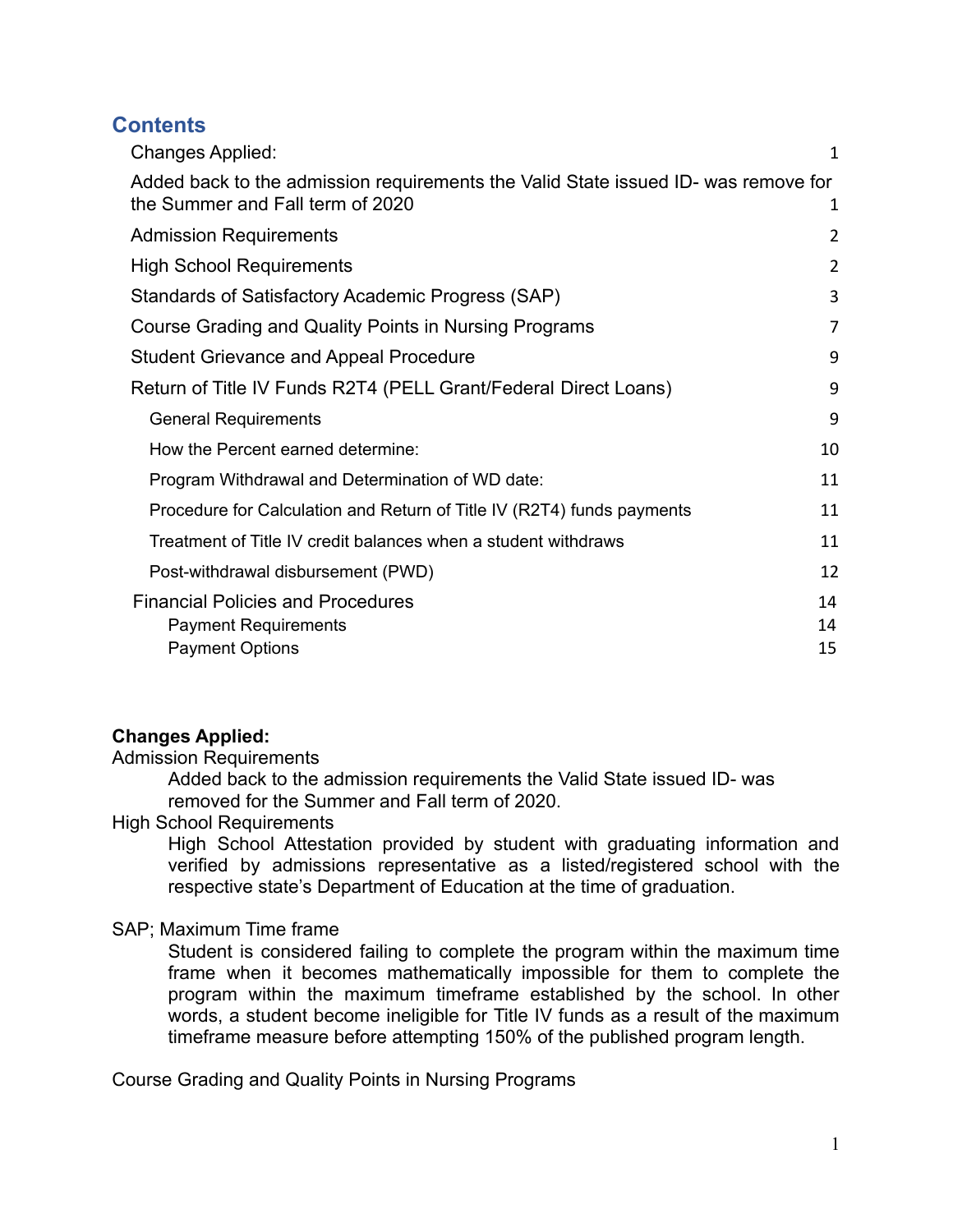## **Contents**

| <b>Changes Applied:</b>                                                                                                | 1              |
|------------------------------------------------------------------------------------------------------------------------|----------------|
| Added back to the admission requirements the Valid State issued ID- was remove for<br>the Summer and Fall term of 2020 | 1              |
| <b>Admission Requirements</b>                                                                                          | 2              |
| <b>High School Requirements</b>                                                                                        | $\overline{2}$ |
| Standards of Satisfactory Academic Progress (SAP)                                                                      | 3              |
| Course Grading and Quality Points in Nursing Programs                                                                  | 7              |
| <b>Student Grievance and Appeal Procedure</b>                                                                          | 9              |
| Return of Title IV Funds R2T4 (PELL Grant/Federal Direct Loans)                                                        | 9              |
| <b>General Requirements</b>                                                                                            | 9              |
| How the Percent earned determine:                                                                                      | 10             |
| Program Withdrawal and Determination of WD date:                                                                       | 11             |
| Procedure for Calculation and Return of Title IV (R2T4) funds payments                                                 | 11             |
| Treatment of Title IV credit balances when a student withdraws                                                         | 11             |
| Post-withdrawal disbursement (PWD)                                                                                     | 12             |
| <b>Financial Policies and Procedures</b><br><b>Payment Requirements</b><br><b>Payment Options</b>                      | 14<br>14<br>15 |

#### <span id="page-1-0"></span>**Changes Applied:**

Admission Requirements

Added back to the admission requirements the Valid State issued ID- was removed for the Summer and Fall term of 2020.

#### <span id="page-1-1"></span>High School Requirements

High School Attestation provided by student with graduating information and verified by admissions representative as a listed/registered school with the respective state's Department of Education at the time of graduation.

#### SAP; Maximum Time frame

Student is considered failing to complete the program within the maximum time frame when it becomes mathematically impossible for them to complete the program within the maximum timeframe established by the school. In other words, a student become ineligible for Title IV funds as a result of the maximum timeframe measure before attempting 150% of the published program length.

Course Grading and Quality Points in Nursing Programs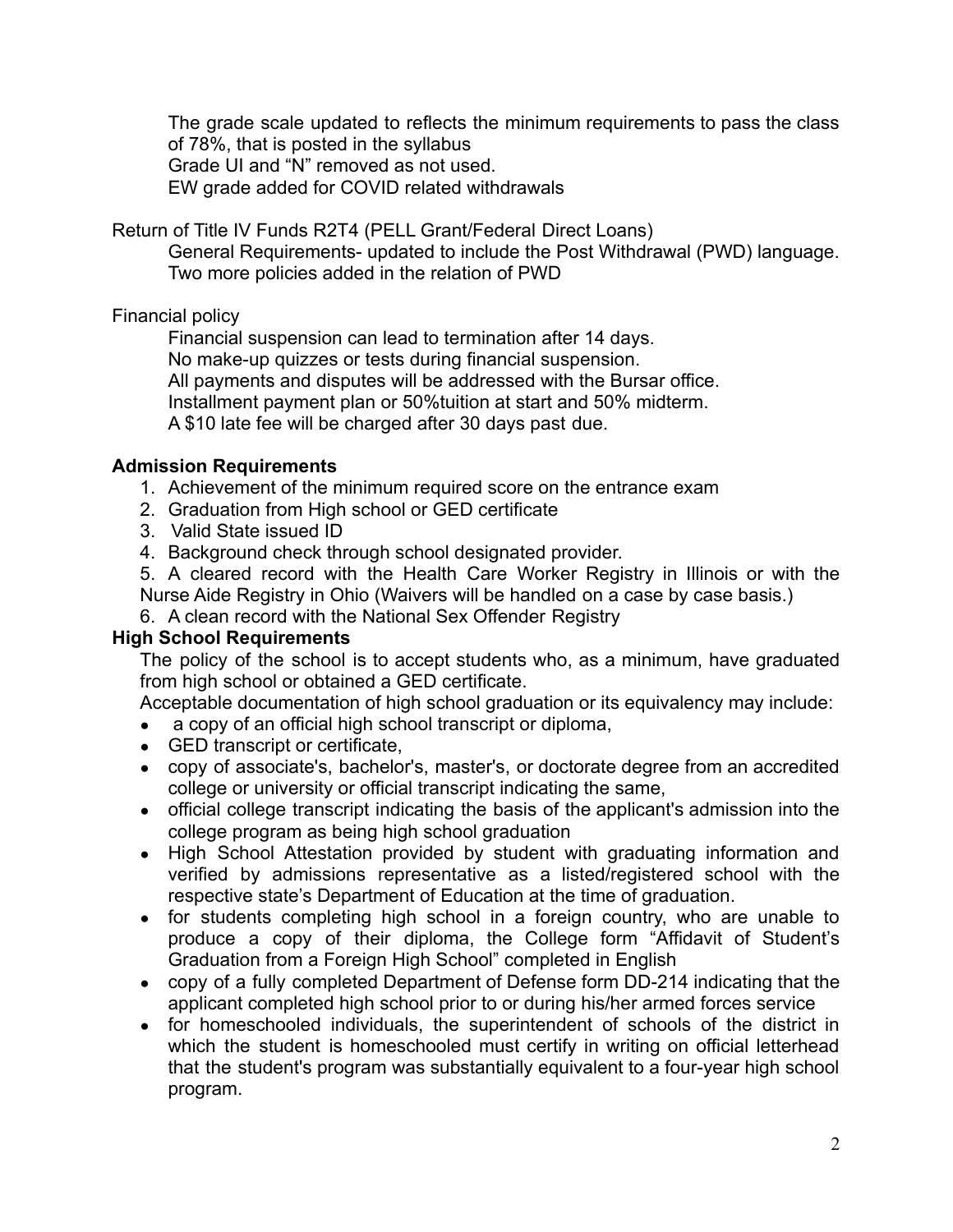The grade scale updated to reflects the minimum requirements to pass the class of 78%, that is posted in the syllabus Grade UI and "N" removed as not used. EW grade added for COVID related withdrawals

Return of Title IV Funds R2T4 (PELL Grant/Federal Direct Loans)

General Requirements- updated to include the Post Withdrawal (PWD) language. Two more policies added in the relation of PWD

#### Financial policy

Financial suspension can lead to termination after 14 days.

No make-up quizzes or tests during financial suspension.

All payments and disputes will be addressed with the Bursar office.

Installment payment plan or 50%tuition at start and 50% midterm.

A \$10 late fee will be charged after 30 days past due.

#### <span id="page-2-0"></span>**Admission Requirements**

- 1. Achievement of the minimum required score on the entrance exam
- 2. Graduation from High school or GED certificate
- 3. Valid State issued ID
- 4. Background check through school designated provider.

5. A cleared record with the Health Care Worker Registry in Illinois or with the Nurse Aide Registry in Ohio (Waivers will be handled on a case by case basis.)

6. A clean record with the National Sex Offender Registry

#### <span id="page-2-1"></span>**High School Requirements**

The policy of the school is to accept students who, as a minimum, have graduated from high school or obtained a GED certificate.

Acceptable documentation of high school graduation or its equivalency may include:

- a copy of an official high school transcript or diploma,
- GED transcript or certificate,
- copy of associate's, bachelor's, master's, or doctorate degree from an accredited college or university or official transcript indicating the same,
- official college transcript indicating the basis of the applicant's admission into the college program as being high school graduation
- High School Attestation provided by student with graduating information and verified by admissions representative as a listed/registered school with the respective state's Department of Education at the time of graduation.
- for students completing high school in a foreign country, who are unable to produce a copy of their diploma, the College form "Affidavit of Student's Graduation from a Foreign High School" completed in English
- copy of a fully completed Department of Defense form DD-214 indicating that the applicant completed high school prior to or during his/her armed forces service
- for homeschooled individuals, the superintendent of schools of the district in which the student is homeschooled must certify in writing on official letterhead that the student's program was substantially equivalent to a four-year high school program.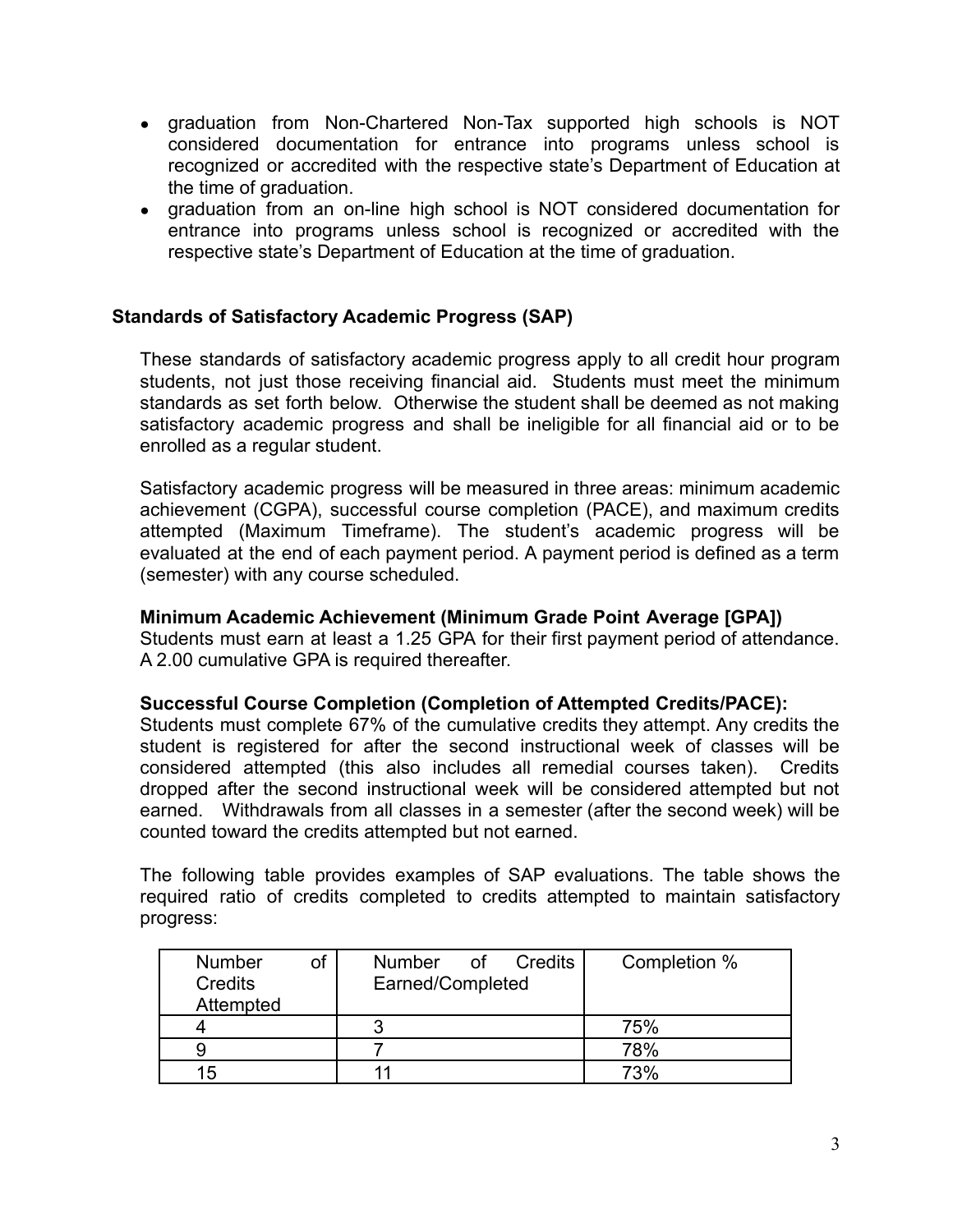- graduation from Non-Chartered Non-Tax supported high schools is NOT considered documentation for entrance into programs unless school is recognized or accredited with the respective state's Department of Education at the time of graduation.
- graduation from an on-line high school is NOT considered documentation for entrance into programs unless school is recognized or accredited with the respective state's Department of Education at the time of graduation.

#### <span id="page-3-0"></span>**Standards of Satisfactory Academic Progress (SAP)**

These standards of satisfactory academic progress apply to all credit hour program students, not just those receiving financial aid. Students must meet the minimum standards as set forth below. Otherwise the student shall be deemed as not making satisfactory academic progress and shall be ineligible for all financial aid or to be enrolled as a regular student.

Satisfactory academic progress will be measured in three areas: minimum academic achievement (CGPA), successful course completion (PACE), and maximum credits attempted (Maximum Timeframe). The student's academic progress will be evaluated at the end of each payment period. A payment period is defined as a term (semester) with any course scheduled.

#### **Minimum Academic Achievement (Minimum Grade Point Average [GPA])**

Students must earn at least a 1.25 GPA for their first payment period of attendance. A 2.00 cumulative GPA is required thereafter.

#### **Successful Course Completion (Completion of Attempted Credits/PACE):**

Students must complete 67% of the cumulative credits they attempt. Any credits the student is registered for after the second instructional week of classes will be considered attempted (this also includes all remedial courses taken). Credits dropped after the second instructional week will be considered attempted but not earned. Withdrawals from all classes in a semester (after the second week) will be counted toward the credits attempted but not earned.

The following table provides examples of SAP evaluations. The table shows the required ratio of credits completed to credits attempted to maintain satisfactory progress:

| <b>Number</b> | Number of Credits | Completion % |
|---------------|-------------------|--------------|
| Credits       | Earned/Completed  |              |
| Attempted     |                   |              |
|               |                   | 75%          |
|               |                   | 78%          |
| 15            | 11                | 73%          |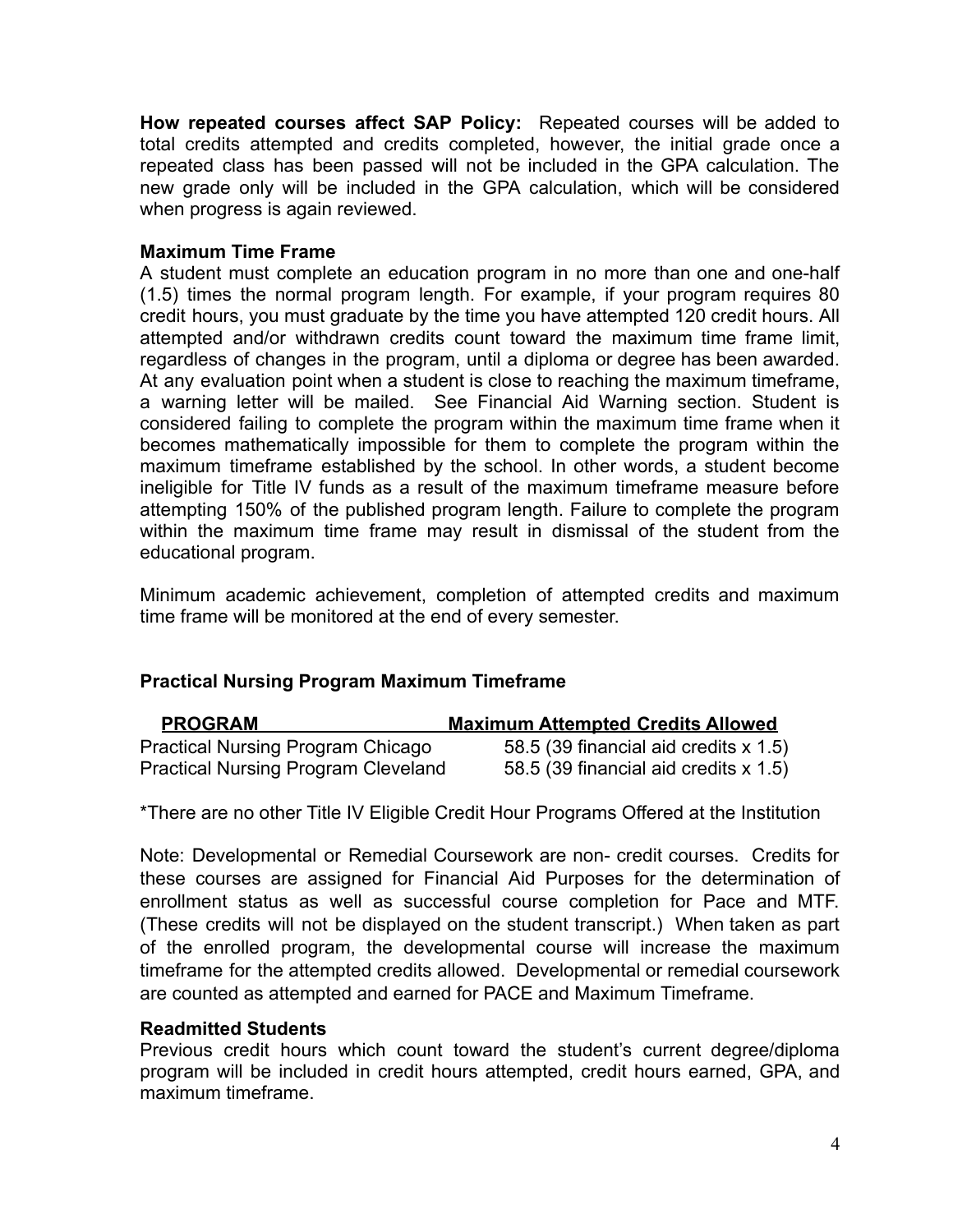**How repeated courses affect SAP Policy:** Repeated courses will be added to total credits attempted and credits completed, however, the initial grade once a repeated class has been passed will not be included in the GPA calculation. The new grade only will be included in the GPA calculation, which will be considered when progress is again reviewed.

#### **Maximum Time Frame**

A student must complete an education program in no more than one and one-half (1.5) times the normal program length. For example, if your program requires 80 credit hours, you must graduate by the time you have attempted 120 credit hours. All attempted and/or withdrawn credits count toward the maximum time frame limit, regardless of changes in the program, until a diploma or degree has been awarded. At any evaluation point when a student is close to reaching the maximum timeframe, a warning letter will be mailed. See Financial Aid Warning section. Student is considered failing to complete the program within the maximum time frame when it becomes mathematically impossible for them to complete the program within the maximum timeframe established by the school. In other words, a student become ineligible for Title IV funds as a result of the maximum timeframe measure before attempting 150% of the published program length. Failure to complete the program within the maximum time frame may result in dismissal of the student from the educational program.

Minimum academic achievement, completion of attempted credits and maximum time frame will be monitored at the end of every semester.

## **Practical Nursing Program Maximum Timeframe**

| <b>PROGRAM</b>                             | <b>Maximum Attempted Credits Allowed</b> |
|--------------------------------------------|------------------------------------------|
| <b>Practical Nursing Program Chicago</b>   | 58.5 (39 financial aid credits x 1.5)    |
| <b>Practical Nursing Program Cleveland</b> | 58.5 (39 financial aid credits x 1.5)    |

\*There are no other Title IV Eligible Credit Hour Programs Offered at the Institution

Note: Developmental or Remedial Coursework are non- credit courses. Credits for these courses are assigned for Financial Aid Purposes for the determination of enrollment status as well as successful course completion for Pace and MTF. (These credits will not be displayed on the student transcript.) When taken as part of the enrolled program, the developmental course will increase the maximum timeframe for the attempted credits allowed. Developmental or remedial coursework are counted as attempted and earned for PACE and Maximum Timeframe.

#### **Readmitted Students**

Previous credit hours which count toward the student's current degree/diploma program will be included in credit hours attempted, credit hours earned, GPA, and maximum timeframe.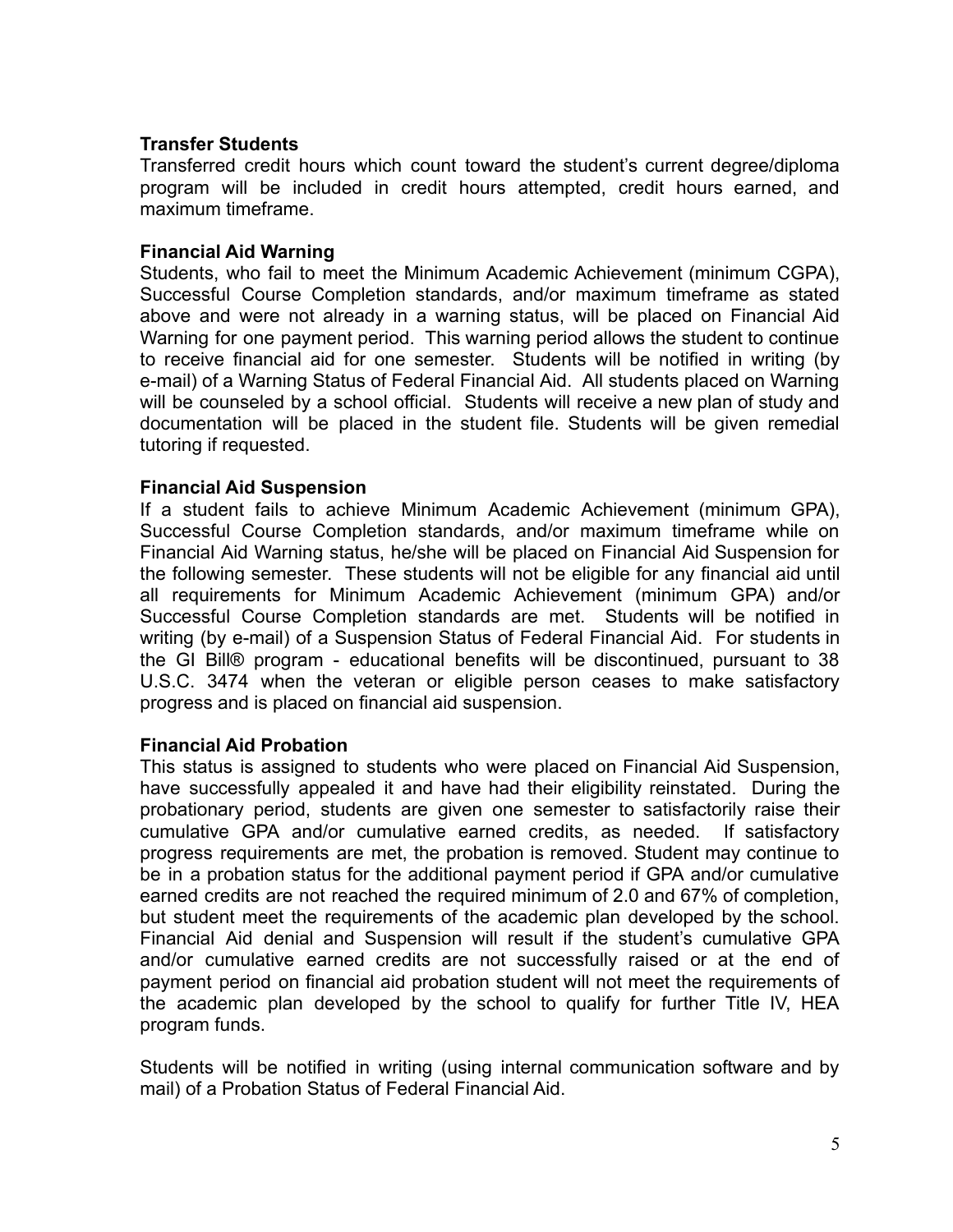#### **Transfer Students**

Transferred credit hours which count toward the student's current degree/diploma program will be included in credit hours attempted, credit hours earned, and maximum timeframe.

#### **Financial Aid Warning**

Students, who fail to meet the Minimum Academic Achievement (minimum CGPA), Successful Course Completion standards, and/or maximum timeframe as stated above and were not already in a warning status, will be placed on Financial Aid Warning for one payment period. This warning period allows the student to continue to receive financial aid for one semester. Students will be notified in writing (by e-mail) of a Warning Status of Federal Financial Aid. All students placed on Warning will be counseled by a school official. Students will receive a new plan of study and documentation will be placed in the student file. Students will be given remedial tutoring if requested.

#### **Financial Aid Suspension**

If a student fails to achieve Minimum Academic Achievement (minimum GPA), Successful Course Completion standards, and/or maximum timeframe while on Financial Aid Warning status, he/she will be placed on Financial Aid Suspension for the following semester. These students will not be eligible for any financial aid until all requirements for Minimum Academic Achievement (minimum GPA) and/or Successful Course Completion standards are met. Students will be notified in writing (by e-mail) of a Suspension Status of Federal Financial Aid. For students in the GI Bill® program - educational benefits will be discontinued, pursuant to 38 U.S.C. 3474 when the veteran or eligible person ceases to make satisfactory progress and is placed on financial aid suspension.

#### **Financial Aid Probation**

This status is assigned to students who were placed on Financial Aid Suspension, have successfully appealed it and have had their eligibility reinstated. During the probationary period, students are given one semester to satisfactorily raise their cumulative GPA and/or cumulative earned credits, as needed. If satisfactory progress requirements are met, the probation is removed. Student may continue to be in a probation status for the additional payment period if GPA and/or cumulative earned credits are not reached the required minimum of 2.0 and 67% of completion, but student meet the requirements of the academic plan developed by the school. Financial Aid denial and Suspension will result if the student's cumulative GPA and/or cumulative earned credits are not successfully raised or at the end of payment period on financial aid probation student will not meet the requirements of the academic plan developed by the school to qualify for further Title IV, HEA program funds.

Students will be notified in writing (using internal communication software and by mail) of a Probation Status of Federal Financial Aid.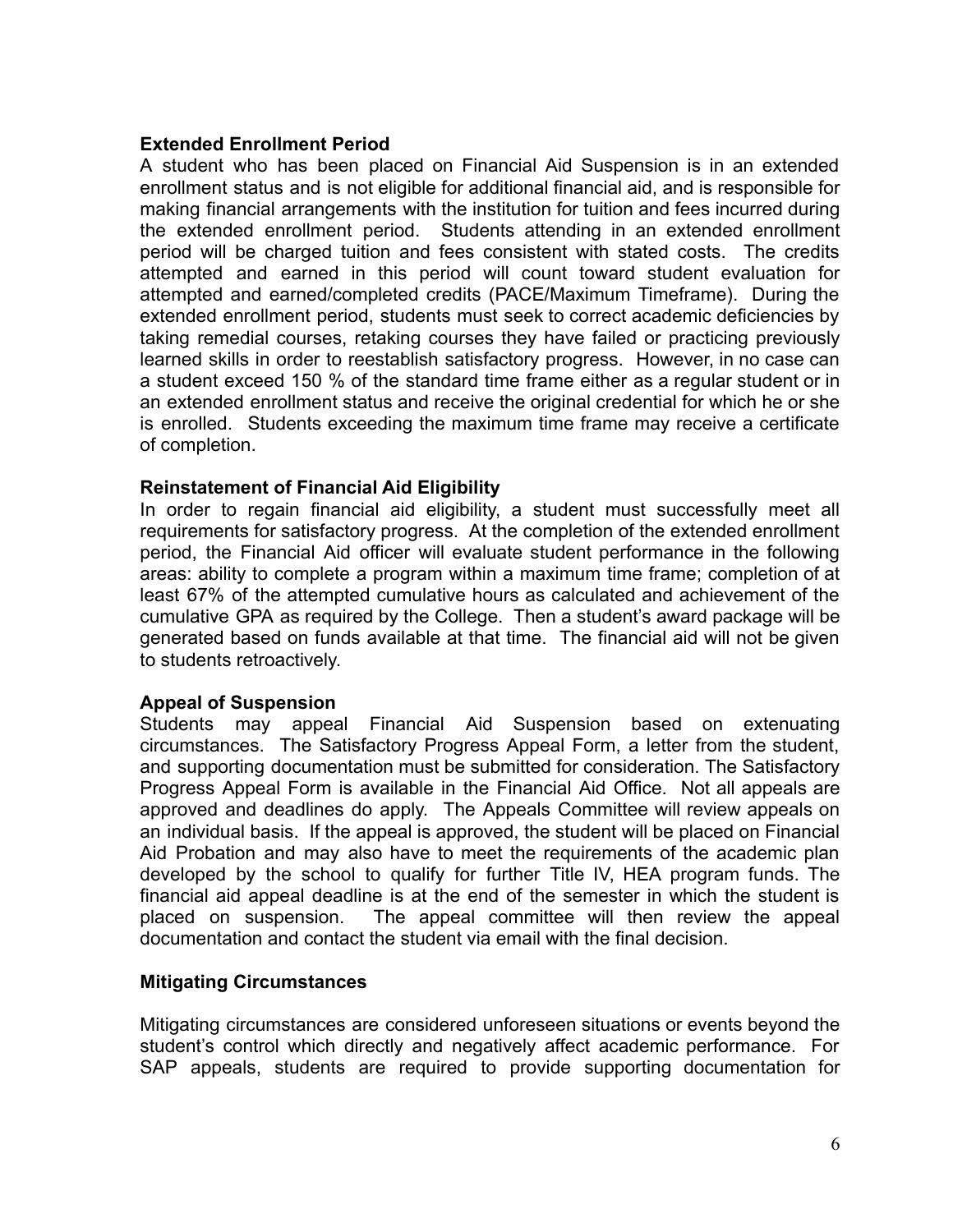#### **Extended Enrollment Period**

A student who has been placed on Financial Aid Suspension is in an extended enrollment status and is not eligible for additional financial aid, and is responsible for making financial arrangements with the institution for tuition and fees incurred during the extended enrollment period. Students attending in an extended enrollment period will be charged tuition and fees consistent with stated costs. The credits attempted and earned in this period will count toward student evaluation for attempted and earned/completed credits (PACE/Maximum Timeframe). During the extended enrollment period, students must seek to correct academic deficiencies by taking remedial courses, retaking courses they have failed or practicing previously learned skills in order to reestablish satisfactory progress. However, in no case can a student exceed 150 % of the standard time frame either as a regular student or in an extended enrollment status and receive the original credential for which he or she is enrolled. Students exceeding the maximum time frame may receive a certificate of completion.

#### **Reinstatement of Financial Aid Eligibility**

In order to regain financial aid eligibility, a student must successfully meet all requirements for satisfactory progress. At the completion of the extended enrollment period, the Financial Aid officer will evaluate student performance in the following areas: ability to complete a program within a maximum time frame; completion of at least 67% of the attempted cumulative hours as calculated and achievement of the cumulative GPA as required by the College. Then a student's award package will be generated based on funds available at that time. The financial aid will not be given to students retroactively.

#### **Appeal of Suspension**

Students may appeal Financial Aid Suspension based on extenuating circumstances. The Satisfactory Progress Appeal Form, a letter from the student, and supporting documentation must be submitted for consideration. The Satisfactory Progress Appeal Form is available in the Financial Aid Office. Not all appeals are approved and deadlines do apply. The Appeals Committee will review appeals on an individual basis. If the appeal is approved, the student will be placed on Financial Aid Probation and may also have to meet the requirements of the academic plan developed by the school to qualify for further Title IV, HEA program funds. The financial aid appeal deadline is at the end of the semester in which the student is placed on suspension. The appeal committee will then review the appeal documentation and contact the student via email with the final decision.

#### **Mitigating Circumstances**

Mitigating circumstances are considered unforeseen situations or events beyond the student's control which directly and negatively affect academic performance. For SAP appeals, students are required to provide supporting documentation for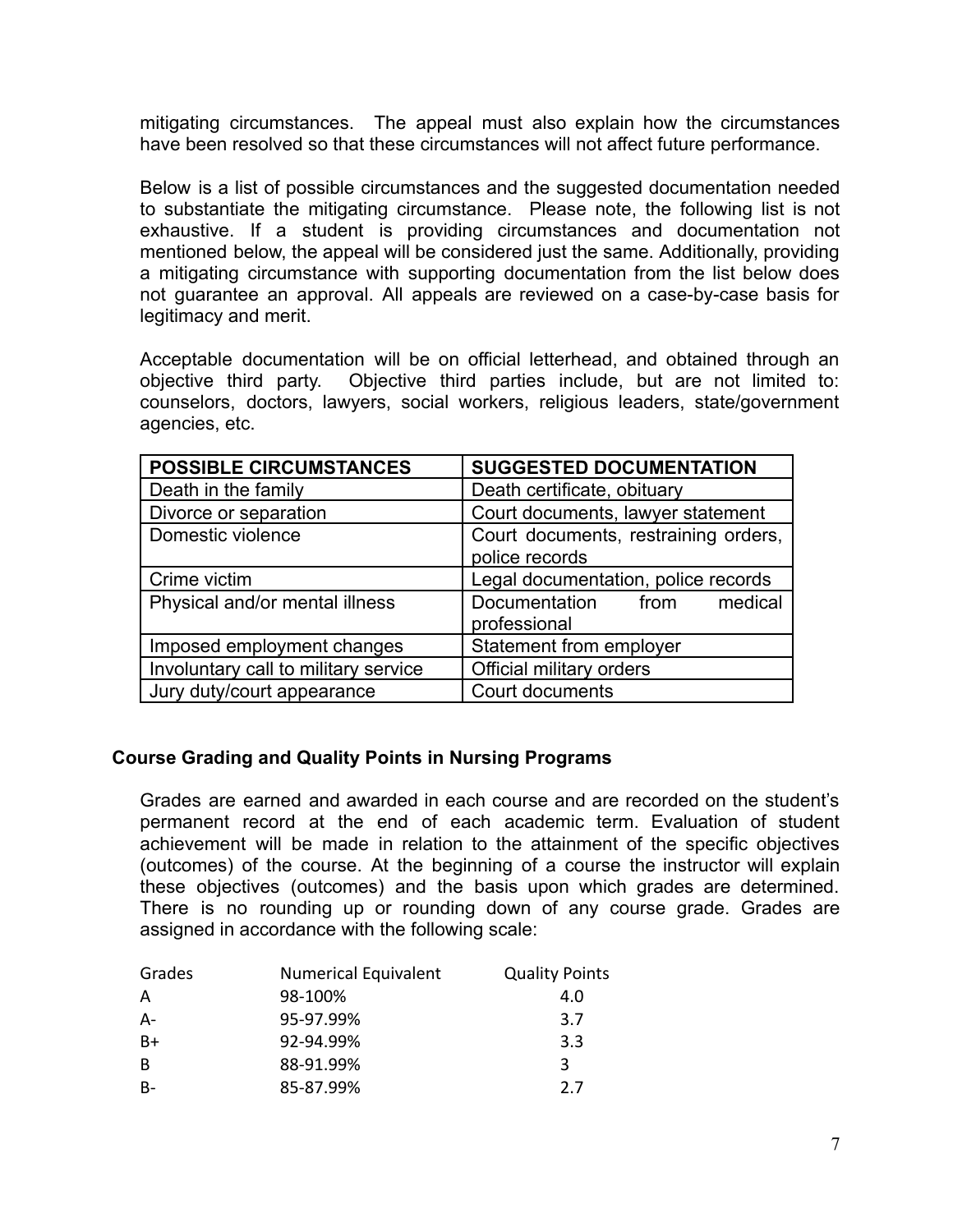mitigating circumstances. The appeal must also explain how the circumstances have been resolved so that these circumstances will not affect future performance.

Below is a list of possible circumstances and the suggested documentation needed to substantiate the mitigating circumstance. Please note, the following list is not exhaustive. If a student is providing circumstances and documentation not mentioned below, the appeal will be considered just the same. Additionally, providing a mitigating circumstance with supporting documentation from the list below does not guarantee an approval. All appeals are reviewed on a case-by-case basis for legitimacy and merit.

Acceptable documentation will be on official letterhead, and obtained through an objective third party. Objective third parties include, but are not limited to: counselors, doctors, lawyers, social workers, religious leaders, state/government agencies, etc.

| <b>POSSIBLE CIRCUMSTANCES</b>        | <b>SUGGESTED DOCUMENTATION</b>                         |  |
|--------------------------------------|--------------------------------------------------------|--|
| Death in the family                  | Death certificate, obituary                            |  |
| Divorce or separation                | Court documents, lawyer statement                      |  |
| Domestic violence                    | Court documents, restraining orders,<br>police records |  |
| Crime victim                         | Legal documentation, police records                    |  |
| Physical and/or mental illness       | Documentation from<br>medical<br>professional          |  |
| Imposed employment changes           | Statement from employer                                |  |
| Involuntary call to military service | Official military orders                               |  |
| Jury duty/court appearance           | Court documents                                        |  |

#### <span id="page-7-0"></span>**Course Grading and Quality Points in Nursing Programs**

Grades are earned and awarded in each course and are recorded on the student's permanent record at the end of each academic term. Evaluation of student achievement will be made in relation to the attainment of the specific objectives (outcomes) of the course. At the beginning of a course the instructor will explain these objectives (outcomes) and the basis upon which grades are determined. There is no rounding up or rounding down of any course grade. Grades are assigned in accordance with the following scale:

| Grades | <b>Numerical Equivalent</b> | <b>Quality Points</b> |
|--------|-----------------------------|-----------------------|
| A      | 98-100%                     | 4.0                   |
| $A-$   | 95-97.99%                   | 3.7                   |
| $B+$   | 92-94.99%                   | 3.3                   |
| B      | 88-91.99%                   | 3                     |
| $B-$   | 85-87.99%                   | 27                    |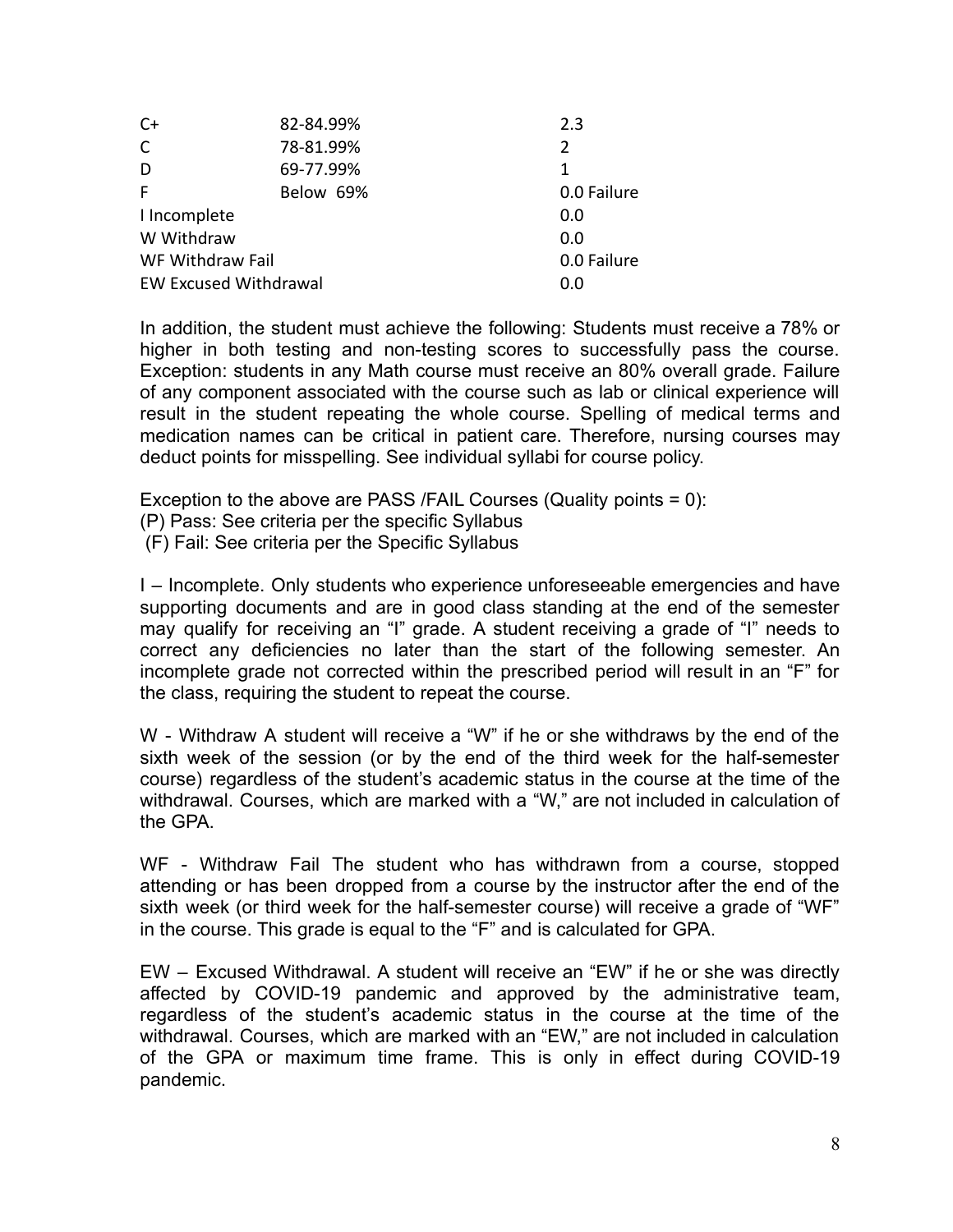| $C+$                         | 82-84.99% | 2.3         |
|------------------------------|-----------|-------------|
| $\mathsf{C}$                 | 78-81.99% | 2           |
| D                            | 69-77.99% | 1           |
| F                            | Below 69% | 0.0 Failure |
| I Incomplete                 |           | 0.0         |
| W Withdraw                   |           | 0.0         |
| WF Withdraw Fail             |           | 0.0 Failure |
| <b>EW Excused Withdrawal</b> |           | 0.0         |

In addition, the student must achieve the following: Students must receive a 78% or higher in both testing and non-testing scores to successfully pass the course. Exception: students in any Math course must receive an 80% overall grade. Failure of any component associated with the course such as lab or clinical experience will result in the student repeating the whole course. Spelling of medical terms and medication names can be critical in patient care. Therefore, nursing courses may deduct points for misspelling. See individual syllabi for course policy.

Exception to the above are PASS /FAIL Courses (Quality points = 0):

- (P) Pass: See criteria per the specific Syllabus
- (F) Fail: See criteria per the Specific Syllabus

I – Incomplete. Only students who experience unforeseeable emergencies and have supporting documents and are in good class standing at the end of the semester may qualify for receiving an "I" grade. A student receiving a grade of "I" needs to correct any deficiencies no later than the start of the following semester. An incomplete grade not corrected within the prescribed period will result in an "F" for the class, requiring the student to repeat the course.

W - Withdraw A student will receive a "W" if he or she withdraws by the end of the sixth week of the session (or by the end of the third week for the half-semester course) regardless of the student's academic status in the course at the time of the withdrawal. Courses, which are marked with a "W," are not included in calculation of the GPA.

WF - Withdraw Fail The student who has withdrawn from a course, stopped attending or has been dropped from a course by the instructor after the end of the sixth week (or third week for the half-semester course) will receive a grade of "WF" in the course. This grade is equal to the "F" and is calculated for GPA.

EW – Excused Withdrawal. A student will receive an "EW" if he or she was directly affected by COVID-19 pandemic and approved by the administrative team, regardless of the student's academic status in the course at the time of the withdrawal. Courses, which are marked with an "EW," are not included in calculation of the GPA or maximum time frame. This is only in effect during COVID-19 pandemic.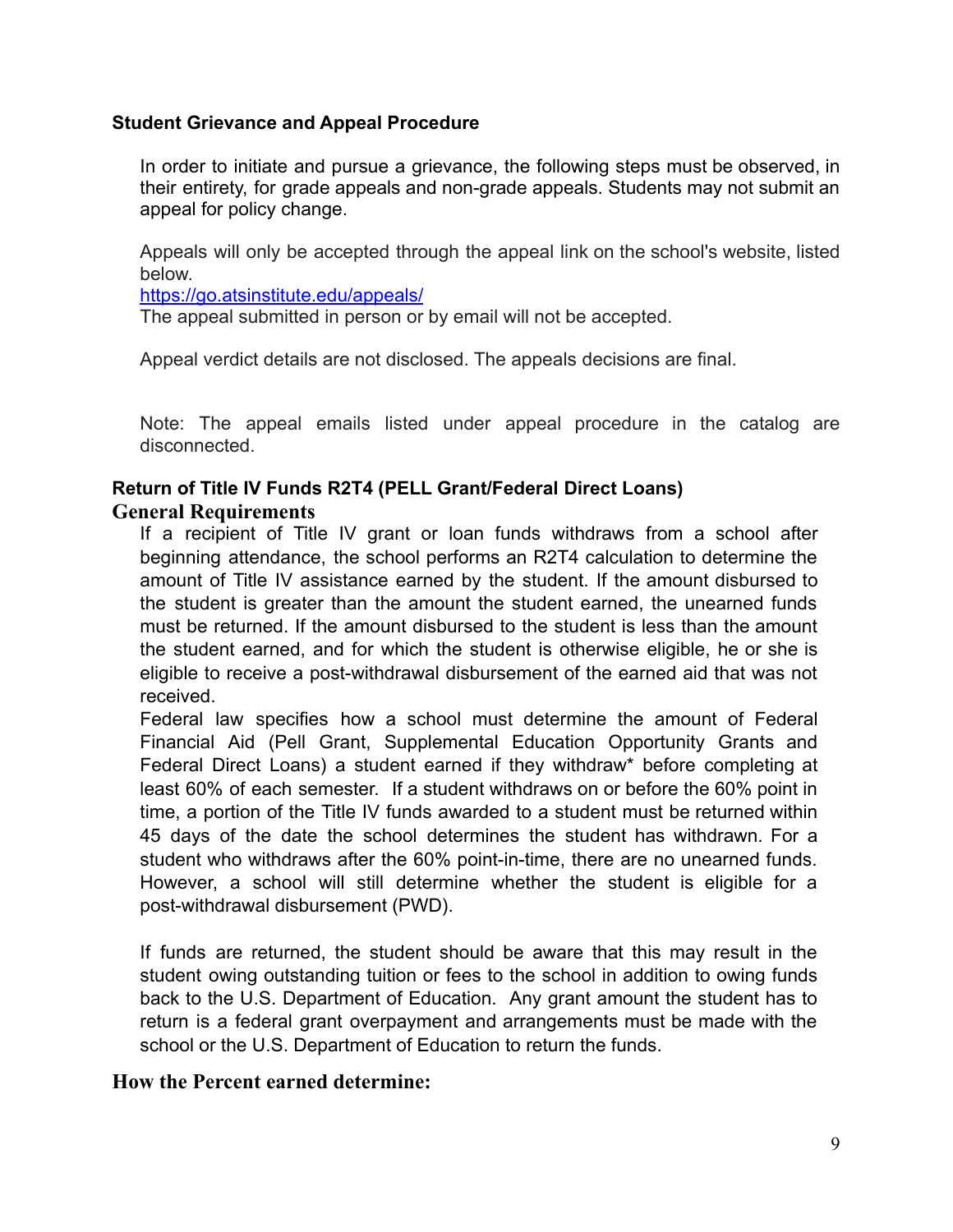#### <span id="page-9-0"></span>**Student Grievance and Appeal Procedure**

In order to initiate and pursue a grievance, the following steps must be observed, in their entirety, for grade appeals and non-grade appeals. Students may not submit an appeal for policy change.

Appeals will only be accepted through the appeal link on the school's website, listed below.

<https://go.atsinstitute.edu/appeals/>

The appeal submitted in person or by email will not be accepted.

Appeal verdict details are not disclosed. The appeals decisions are final.

Note: The appeal emails listed under appeal procedure in the catalog are disconnected.

#### <span id="page-9-2"></span><span id="page-9-1"></span>**Return of Title IV Funds R2T4 (PELL Grant/Federal Direct Loans) General Requirements**

If a recipient of Title IV grant or loan funds withdraws from a school after beginning attendance, the school performs an R2T4 calculation to determine the amount of Title IV assistance earned by the student. If the amount disbursed to the student is greater than the amount the student earned, the unearned funds must be returned. If the amount disbursed to the student is less than the amount the student earned, and for which the student is otherwise eligible, he or she is eligible to receive a post-withdrawal disbursement of the earned aid that was not received.

Federal law specifies how a school must determine the amount of Federal Financial Aid (Pell Grant, Supplemental Education Opportunity Grants and Federal Direct Loans) a student earned if they withdraw\* before completing at least 60% of each semester. If a student withdraws on or before the 60% point in time, a portion of the Title IV funds awarded to a student must be returned within 45 days of the date the school determines the student has withdrawn. For a student who withdraws after the 60% point-in-time, there are no unearned funds. However, a school will still determine whether the student is eligible for a post-withdrawal disbursement (PWD).

If funds are returned, the student should be aware that this may result in the student owing outstanding tuition or fees to the school in addition to owing funds back to the U.S. Department of Education. Any grant amount the student has to return is a federal grant overpayment and arrangements must be made with the school or the U.S. Department of Education to return the funds.

#### <span id="page-9-3"></span>**How the Percent earned determine:**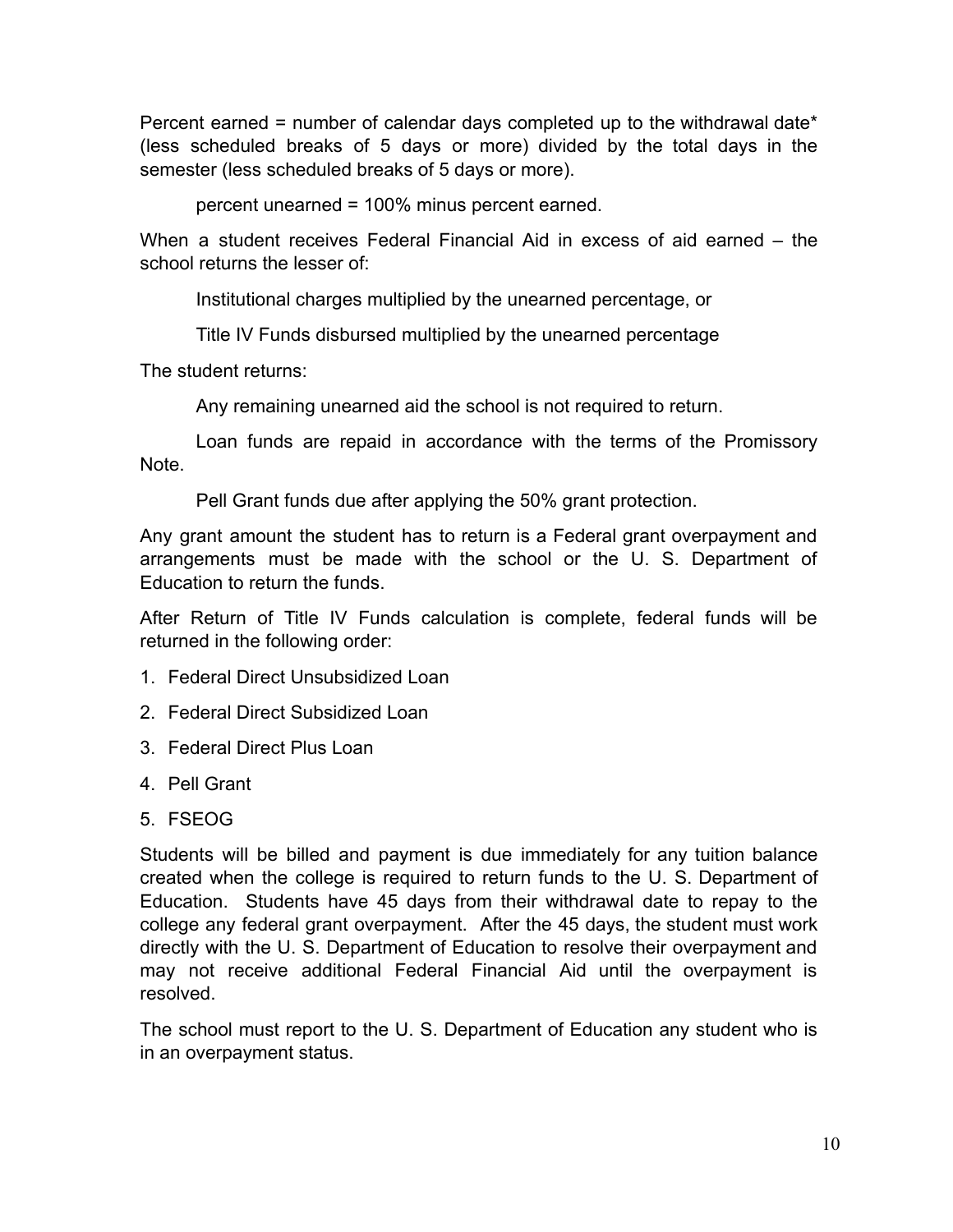Percent earned = number of calendar days completed up to the withdrawal date\* (less scheduled breaks of 5 days or more) divided by the total days in the semester (less scheduled breaks of 5 days or more).

percent unearned = 100% minus percent earned.

When a student receives Federal Financial Aid in excess of aid earned – the school returns the lesser of:

Institutional charges multiplied by the unearned percentage, or

Title IV Funds disbursed multiplied by the unearned percentage

The student returns:

Any remaining unearned aid the school is not required to return.

Loan funds are repaid in accordance with the terms of the Promissory Note.

Pell Grant funds due after applying the 50% grant protection.

Any grant amount the student has to return is a Federal grant overpayment and arrangements must be made with the school or the U. S. Department of Education to return the funds.

After Return of Title IV Funds calculation is complete, federal funds will be returned in the following order:

- 1. Federal Direct Unsubsidized Loan
- 2. Federal Direct Subsidized Loan
- 3. Federal Direct Plus Loan
- 4. Pell Grant
- 5. FSEOG

Students will be billed and payment is due immediately for any tuition balance created when the college is required to return funds to the U. S. Department of Education. Students have 45 days from their withdrawal date to repay to the college any federal grant overpayment. After the 45 days, the student must work directly with the U. S. Department of Education to resolve their overpayment and may not receive additional Federal Financial Aid until the overpayment is resolved.

The school must report to the U. S. Department of Education any student who is in an overpayment status.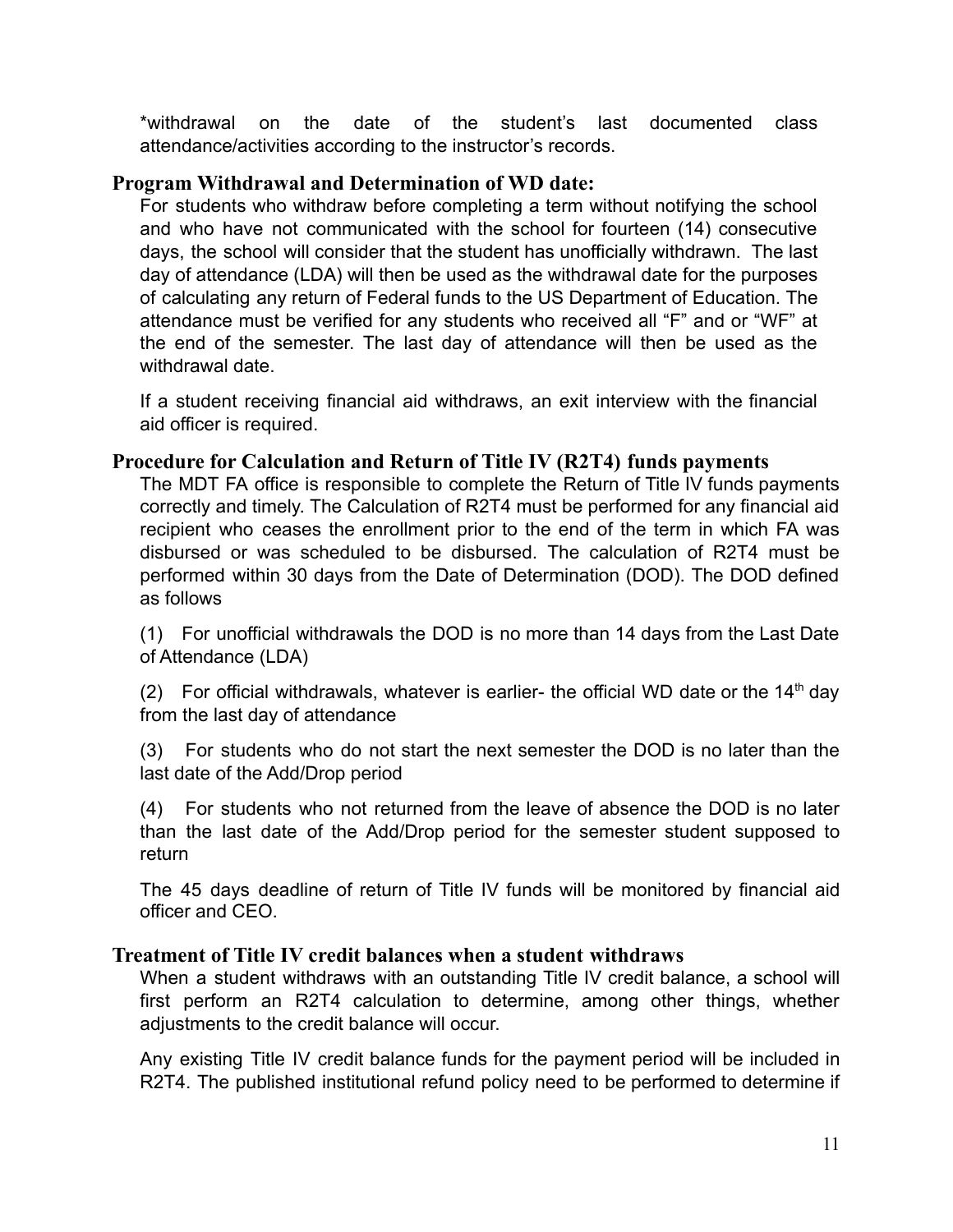\*withdrawal on the date of the student's last documented class attendance/activities according to the instructor's records.

## <span id="page-11-0"></span>**Program Withdrawal and Determination of WD date:**

For students who withdraw before completing a term without notifying the school and who have not communicated with the school for fourteen (14) consecutive days, the school will consider that the student has unofficially withdrawn. The last day of attendance (LDA) will then be used as the withdrawal date for the purposes of calculating any return of Federal funds to the US Department of Education. The attendance must be verified for any students who received all "F" and or "WF" at the end of the semester. The last day of attendance will then be used as the withdrawal date

If a student receiving financial aid withdraws, an exit interview with the financial aid officer is required.

## <span id="page-11-1"></span>**Procedure for Calculation and Return of Title IV (R2T4) funds payments**

The MDT FA office is responsible to complete the Return of Title IV funds payments correctly and timely. The Calculation of R2T4 must be performed for any financial aid recipient who ceases the enrollment prior to the end of the term in which FA was disbursed or was scheduled to be disbursed. The calculation of R2T4 must be performed within 30 days from the Date of Determination (DOD). The DOD defined as follows

(1) For unofficial withdrawals the DOD is no more than 14 days from the Last Date of Attendance (LDA)

(2) For official withdrawals, whatever is earlier- the official WD date or the  $14<sup>th</sup>$  day from the last day of attendance

(3) For students who do not start the next semester the DOD is no later than the last date of the Add/Drop period

(4) For students who not returned from the leave of absence the DOD is no later than the last date of the Add/Drop period for the semester student supposed to return

The 45 days deadline of return of Title IV funds will be monitored by financial aid officer and CEO.

## <span id="page-11-2"></span>**Treatment of Title IV credit balances when a student withdraws**

When a student withdraws with an outstanding Title IV credit balance, a school will first perform an R2T4 calculation to determine, among other things, whether adjustments to the credit balance will occur.

Any existing Title IV credit balance funds for the payment period will be included in R2T4. The published institutional refund policy need to be performed to determine if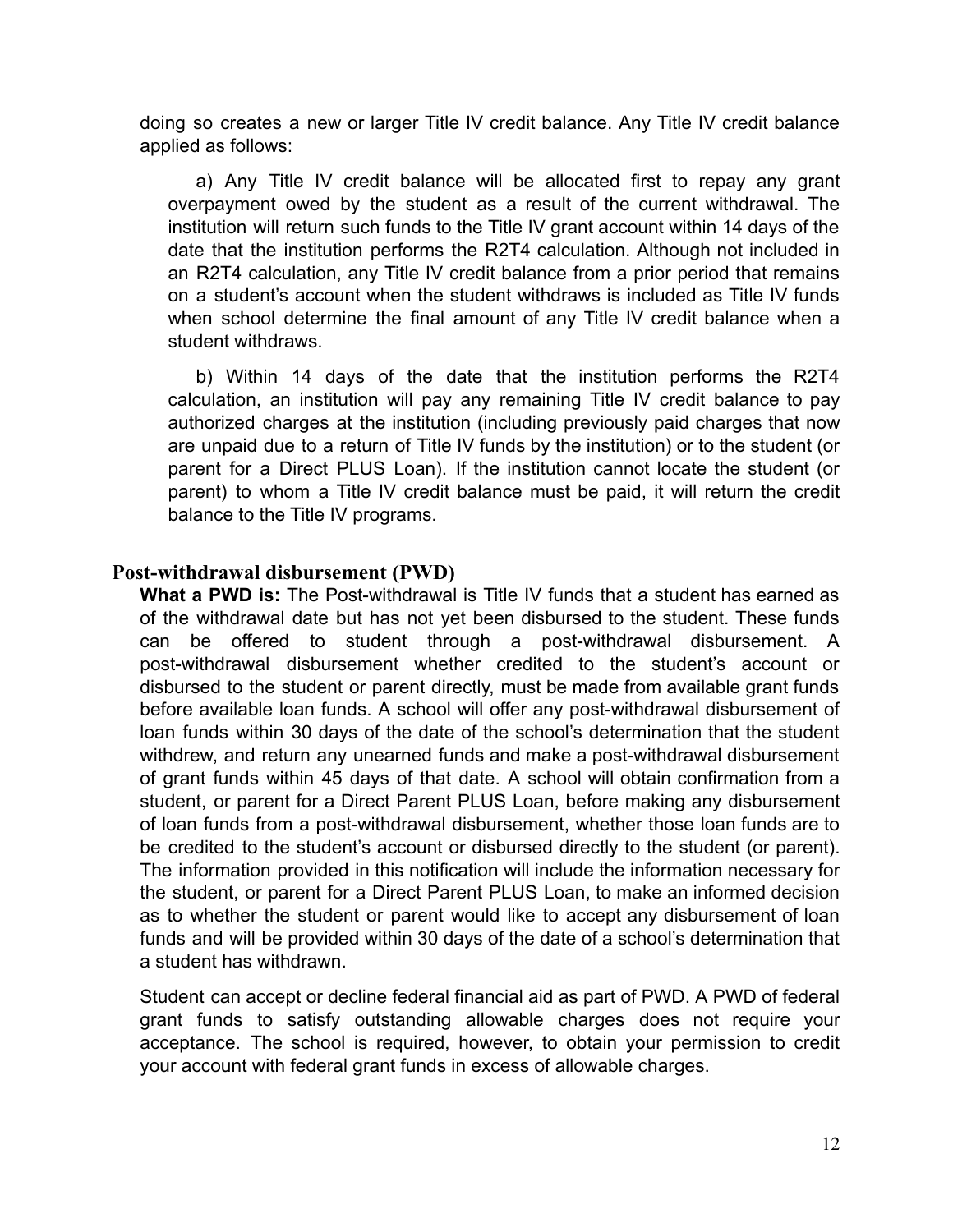doing so creates a new or larger Title IV credit balance. Any Title IV credit balance applied as follows:

a) Any Title IV credit balance will be allocated first to repay any grant overpayment owed by the student as a result of the current withdrawal. The institution will return such funds to the Title IV grant account within 14 days of the date that the institution performs the R2T4 calculation. Although not included in an R2T4 calculation, any Title IV credit balance from a prior period that remains on a student's account when the student withdraws is included as Title IV funds when school determine the final amount of any Title IV credit balance when a student withdraws.

b) Within 14 days of the date that the institution performs the R2T4 calculation, an institution will pay any remaining Title IV credit balance to pay authorized charges at the institution (including previously paid charges that now are unpaid due to a return of Title IV funds by the institution) or to the student (or parent for a Direct PLUS Loan). If the institution cannot locate the student (or parent) to whom a Title IV credit balance must be paid, it will return the credit balance to the Title IV programs.

#### <span id="page-12-0"></span>**Post-withdrawal disbursement (PWD)**

**What a PWD is:** The Post-withdrawal is Title IV funds that a student has earned as of the withdrawal date but has not yet been disbursed to the student. These funds can be offered to student through a post-withdrawal disbursement. A post-withdrawal disbursement whether credited to the student's account or disbursed to the student or parent directly, must be made from available grant funds before available loan funds. A school will offer any post-withdrawal disbursement of loan funds within 30 days of the date of the school's determination that the student withdrew, and return any unearned funds and make a post-withdrawal disbursement of grant funds within 45 days of that date. A school will obtain confirmation from a student, or parent for a Direct Parent PLUS Loan, before making any disbursement of loan funds from a post-withdrawal disbursement, whether those loan funds are to be credited to the student's account or disbursed directly to the student (or parent). The information provided in this notification will include the information necessary for the student, or parent for a Direct Parent PLUS Loan, to make an informed decision as to whether the student or parent would like to accept any disbursement of loan funds and will be provided within 30 days of the date of a school's determination that a student has withdrawn.

Student can accept or decline federal financial aid as part of PWD. A PWD of federal grant funds to satisfy outstanding allowable charges does not require your acceptance. The school is required, however, to obtain your permission to credit your account with federal grant funds in excess of allowable charges.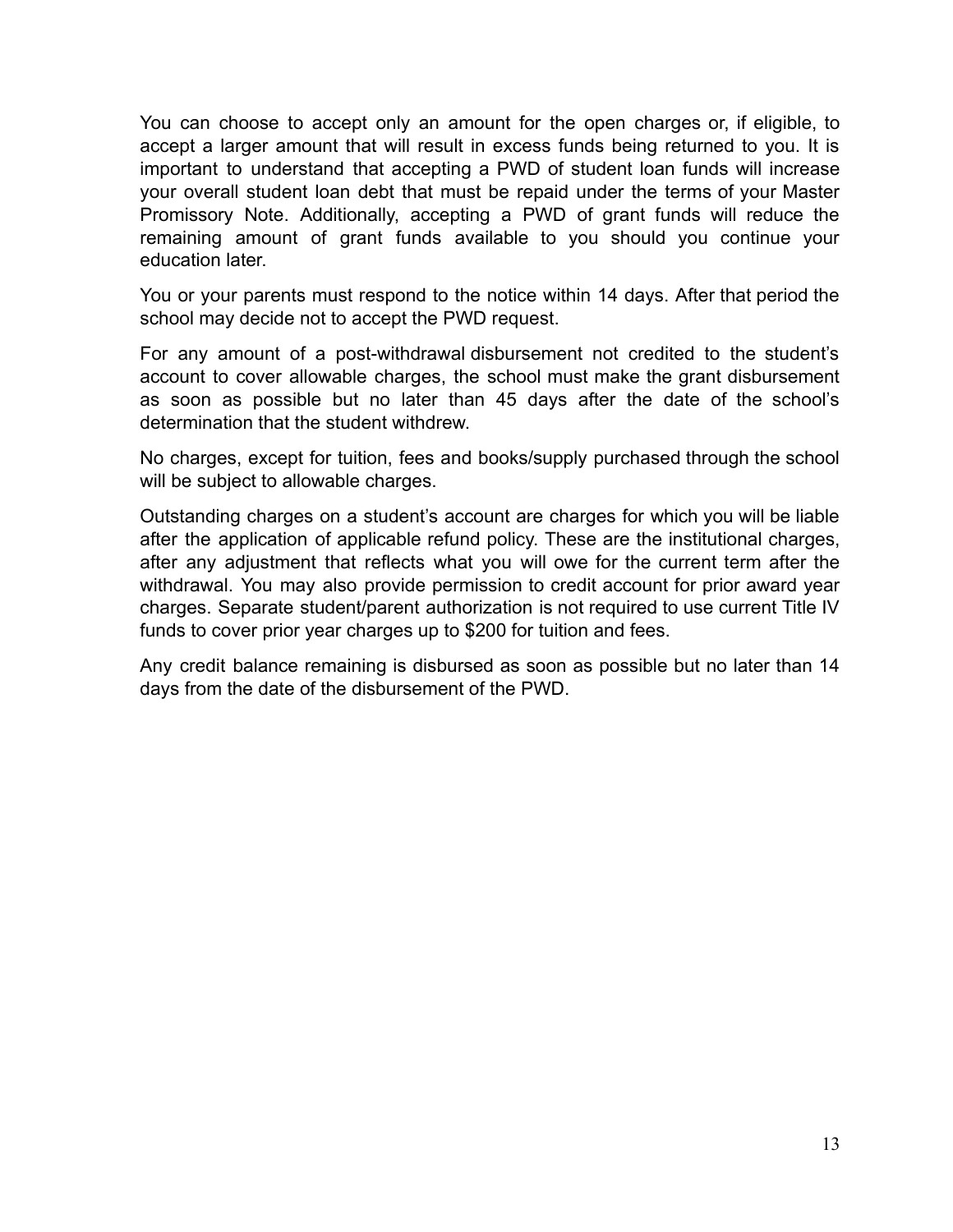You can choose to accept only an amount for the open charges or, if eligible, to accept a larger amount that will result in excess funds being returned to you. It is important to understand that accepting a PWD of student loan funds will increase your overall student loan debt that must be repaid under the terms of your Master Promissory Note. Additionally, accepting a PWD of grant funds will reduce the remaining amount of grant funds available to you should you continue your education later.

You or your parents must respond to the notice within 14 days. After that period the school may decide not to accept the PWD request.

For any amount of a post-withdrawal disbursement not credited to the student's account to cover allowable charges, the school must make the grant disbursement as soon as possible but no later than 45 days after the date of the school's determination that the student withdrew.

No charges, except for tuition, fees and books/supply purchased through the school will be subject to allowable charges.

Outstanding charges on a student's account are charges for which you will be liable after the application of applicable refund policy. These are the institutional charges, after any adjustment that reflects what you will owe for the current term after the withdrawal. You may also provide permission to credit account for prior award year charges. Separate student/parent authorization is not required to use current Title IV funds to cover prior year charges up to \$200 for tuition and fees.

Any credit balance remaining is disbursed as soon as possible but no later than 14 days from the date of the disbursement of the PWD.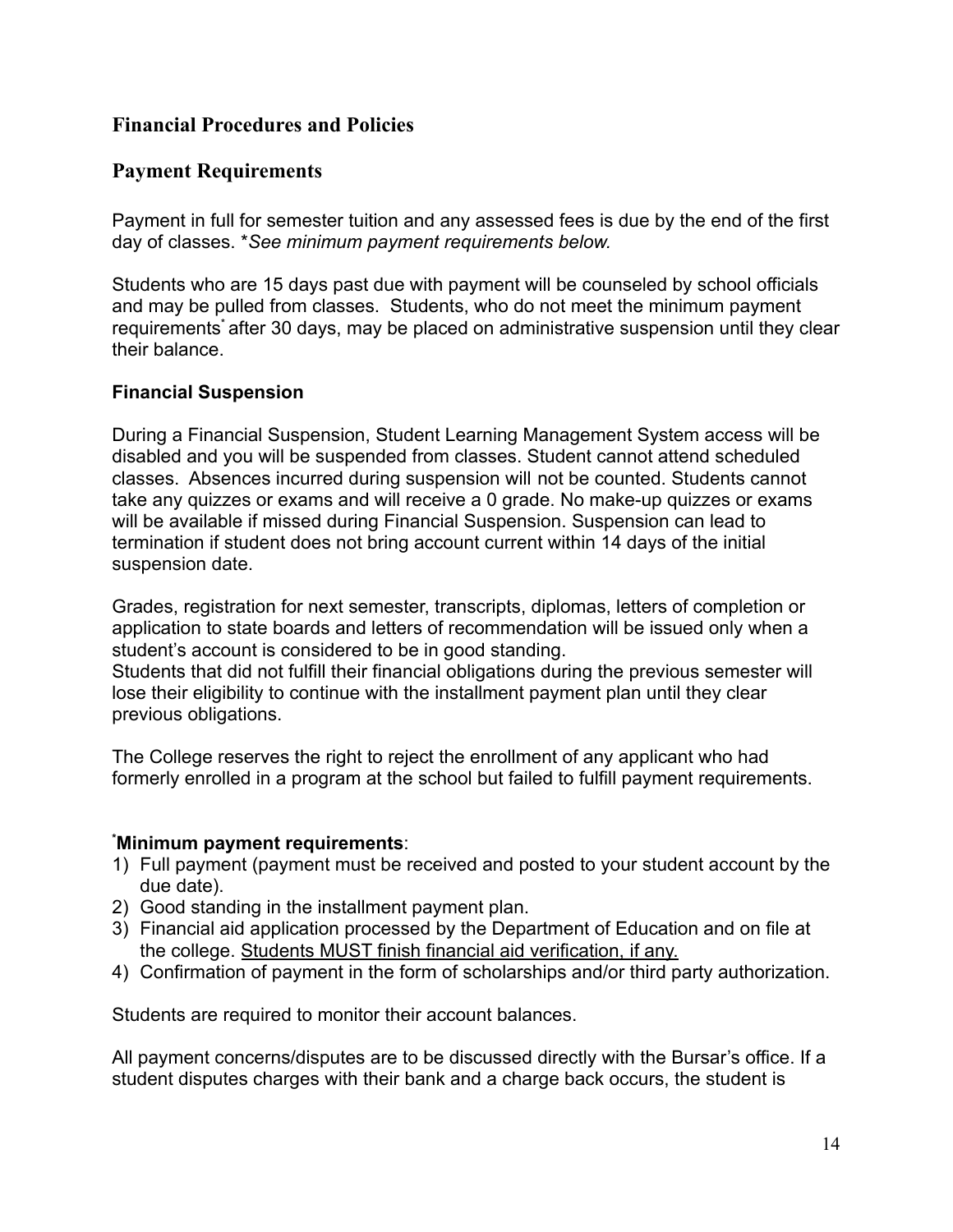## **Financial Procedures and Policies**

## **Payment Requirements**

Payment in full for semester tuition and any assessed fees is due by the end of the first day of classes. \**See minimum payment requirements below.*

Students who are 15 days past due with payment will be counseled by school officials and may be pulled from classes. Students, who do not meet the minimum payment requirements<sup>\*</sup> after 30 days, may be placed on administrative suspension until they clear their balance.

#### **Financial Suspension**

During a Financial Suspension, Student Learning Management System access will be disabled and you will be suspended from classes. Student cannot attend scheduled classes. Absences incurred during suspension will not be counted. Students cannot take any quizzes or exams and will receive a 0 grade. No make-up quizzes or exams will be available if missed during Financial Suspension. Suspension can lead to termination if student does not bring account current within 14 days of the initial suspension date.

Grades, registration for next semester, transcripts, diplomas, letters of completion or application to state boards and letters of recommendation will be issued only when a student's account is considered to be in good standing.

Students that did not fulfill their financial obligations during the previous semester will lose their eligibility to continue with the installment payment plan until they clear previous obligations.

The College reserves the right to reject the enrollment of any applicant who had formerly enrolled in a program at the school but failed to fulfill payment requirements.

#### **\*Minimum payment requirements**:

- 1) Full payment (payment must be received and posted to your student account by the due date).
- 2) Good standing in the installment payment plan.
- 3) Financial aid application processed by the Department of Education and on file at the college. Students MUST finish financial aid verification, if any.
- 4) Confirmation of payment in the form of scholarships and/or third party authorization.

Students are required to monitor their account balances.

All payment concerns/disputes are to be discussed directly with the Bursar's office. If a student disputes charges with their bank and a charge back occurs, the student is